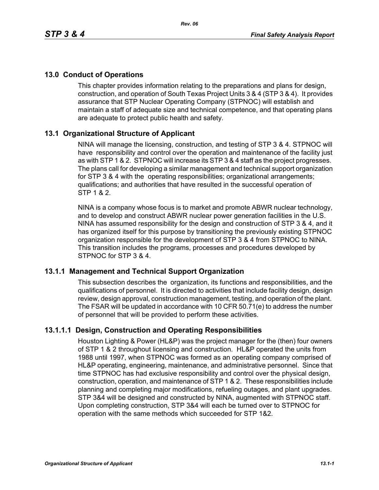# **13.0 Conduct of Operations**

This chapter provides information relating to the preparations and plans for design, construction, and operation of South Texas Project Units 3 & 4 (STP 3 & 4). It provides assurance that STP Nuclear Operating Company (STPNOC) will establish and maintain a staff of adequate size and technical competence, and that operating plans are adequate to protect public health and safety.

# **13.1 Organizational Structure of Applicant**

NINA will manage the licensing, construction, and testing of STP 3 & 4. STPNOC will have responsibility and control over the operation and maintenance of the facility just as with STP 1 & 2. STPNOC will increase its STP 3 & 4 staff as the project progresses. The plans call for developing a similar management and technical support organization for STP 3 & 4 with the operating responsibilities; organizational arrangements; qualifications; and authorities that have resulted in the successful operation of STP 1 & 2.

NINA is a company whose focus is to market and promote ABWR nuclear technology, and to develop and construct ABWR nuclear power generation facilities in the U.S. NINA has assumed responsibility for the design and construction of STP 3 & 4, and it has organized itself for this purpose by transitioning the previously existing STPNOC organization responsible for the development of STP 3 & 4 from STPNOC to NINA. This transition includes the programs, processes and procedures developed by STPNOC for STP 3 & 4.

### **13.1.1 Management and Technical Support Organization**

This subsection describes the organization, its functions and responsibilities, and the qualifications of personnel. It is directed to activities that include facility design, design review, design approval, construction management, testing, and operation of the plant. The FSAR will be updated in accordance with 10 CFR 50.71(e) to address the number of personnel that will be provided to perform these activities.

# **13.1.1.1 Design, Construction and Operating Responsibilities**

Houston Lighting & Power (HL&P) was the project manager for the (then) four owners of STP 1 & 2 throughout licensing and construction. HL&P operated the units from 1988 until 1997, when STPNOC was formed as an operating company comprised of HL&P operating, engineering, maintenance, and administrative personnel. Since that time STPNOC has had exclusive responsibility and control over the physical design, construction, operation, and maintenance of STP 1 & 2. These responsibilities include planning and completing major modifications, refueling outages, and plant upgrades. STP 3&4 will be designed and constructed by NINA, augmented with STPNOC staff. Upon completing construction, STP 3&4 will each be turned over to STPNOC for operation with the same methods which succeeded for STP 1&2.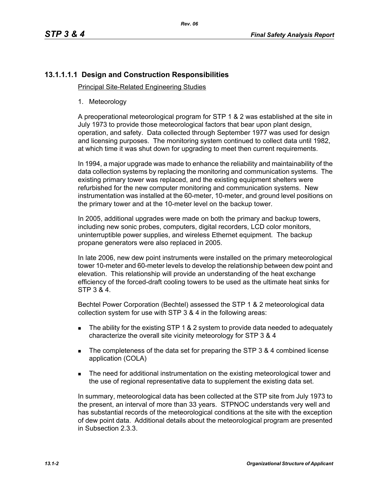# **13.1.1.1.1 Design and Construction Responsibilities**

Principal Site-Related Engineering Studies

1. Meteorology

A preoperational meteorological program for STP 1 & 2 was established at the site in July 1973 to provide those meteorological factors that bear upon plant design, operation, and safety. Data collected through September 1977 was used for design and licensing purposes. The monitoring system continued to collect data until 1982, at which time it was shut down for upgrading to meet then current requirements.

In 1994, a major upgrade was made to enhance the reliability and maintainability of the data collection systems by replacing the monitoring and communication systems. The existing primary tower was replaced, and the existing equipment shelters were refurbished for the new computer monitoring and communication systems. New instrumentation was installed at the 60-meter, 10-meter, and ground level positions on the primary tower and at the 10-meter level on the backup tower.

In 2005, additional upgrades were made on both the primary and backup towers, including new sonic probes, computers, digital recorders, LCD color monitors, uninterruptible power supplies, and wireless Ethernet equipment. The backup propane generators were also replaced in 2005.

In late 2006, new dew point instruments were installed on the primary meteorological tower 10-meter and 60-meter levels to develop the relationship between dew point and elevation. This relationship will provide an understanding of the heat exchange efficiency of the forced-draft cooling towers to be used as the ultimate heat sinks for STP 3 & 4.

Bechtel Power Corporation (Bechtel) assessed the STP 1 & 2 meteorological data collection system for use with STP 3 & 4 in the following areas:

- The ability for the existing STP 1 & 2 system to provide data needed to adequately characterize the overall site vicinity meteorology for STP 3 & 4
- The completeness of the data set for preparing the STP 3 & 4 combined license application (COLA)
- **The need for additional instrumentation on the existing meteorological tower and** the use of regional representative data to supplement the existing data set.

In summary, meteorological data has been collected at the STP site from July 1973 to the present, an interval of more than 33 years. STPNOC understands very well and has substantial records of the meteorological conditions at the site with the exception of dew point data. Additional details about the meteorological program are presented in Subsection 2.3.3.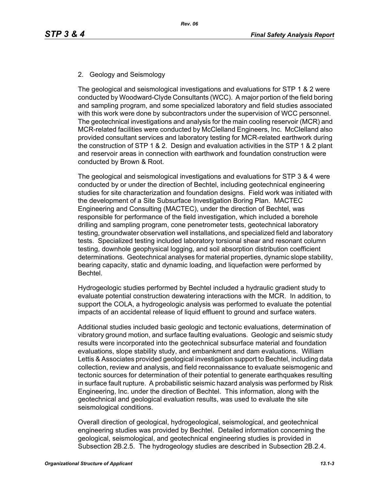# 2. Geology and Seismology

The geological and seismological investigations and evaluations for STP 1 & 2 were conducted by Woodward-Clyde Consultants (WCC). A major portion of the field boring and sampling program, and some specialized laboratory and field studies associated with this work were done by subcontractors under the supervision of WCC personnel. The geotechnical investigations and analysis for the main cooling reservoir (MCR) and MCR-related facilities were conducted by McClelland Engineers, Inc. McClelland also provided consultant services and laboratory testing for MCR-related earthwork during the construction of STP 1 & 2. Design and evaluation activities in the STP 1 & 2 plant and reservoir areas in connection with earthwork and foundation construction were conducted by Brown & Root.

The geological and seismological investigations and evaluations for STP 3 & 4 were conducted by or under the direction of Bechtel, including geotechnical engineering studies for site characterization and foundation designs. Field work was initiated with the development of a Site Subsurface Investigation Boring Plan. MACTEC Engineering and Consulting (MACTEC), under the direction of Bechtel, was responsible for performance of the field investigation, which included a borehole drilling and sampling program, cone penetrometer tests, geotechnical laboratory testing, groundwater observation well installations, and specialized field and laboratory tests. Specialized testing included laboratory torsional shear and resonant column testing, downhole geophysical logging, and soil absorption distribution coefficient determinations. Geotechnical analyses for material properties, dynamic slope stability, bearing capacity, static and dynamic loading, and liquefaction were performed by Bechtel.

Hydrogeologic studies performed by Bechtel included a hydraulic gradient study to evaluate potential construction dewatering interactions with the MCR. In addition, to support the COLA, a hydrogeologic analysis was performed to evaluate the potential impacts of an accidental release of liquid effluent to ground and surface waters.

Additional studies included basic geologic and tectonic evaluations, determination of vibratory ground motion, and surface faulting evaluations. Geologic and seismic study results were incorporated into the geotechnical subsurface material and foundation evaluations, slope stability study, and embankment and dam evaluations. William Lettis & Associates provided geological investigation support to Bechtel, including data collection, review and analysis, and field reconnaissance to evaluate seismogenic and tectonic sources for determination of their potential to generate earthquakes resulting in surface fault rupture. A probabilistic seismic hazard analysis was performed by Risk Engineering, Inc. under the direction of Bechtel. This information, along with the geotechnical and geological evaluation results, was used to evaluate the site seismological conditions.

Overall direction of geological, hydrogeological, seismological, and geotechnical engineering studies was provided by Bechtel. Detailed information concerning the geological, seismological, and geotechnical engineering studies is provided in Subsection 2B.2.5. The hydrogeology studies are described in Subsection 2B.2.4.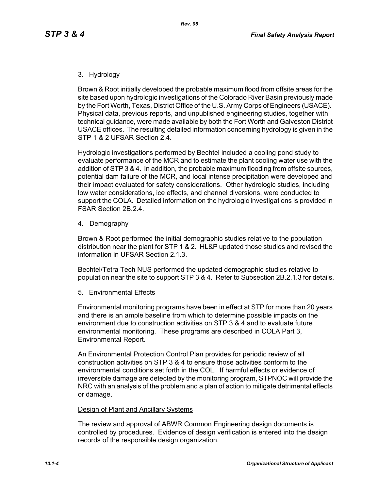### 3. Hydrology

Brown & Root initially developed the probable maximum flood from offsite areas for the site based upon hydrologic investigations of the Colorado River Basin previously made by the Fort Worth, Texas, District Office of the U.S. Army Corps of Engineers (USACE). Physical data, previous reports, and unpublished engineering studies, together with technical guidance, were made available by both the Fort Worth and Galveston District USACE offices. The resulting detailed information concerning hydrology is given in the STP 1 & 2 UFSAR Section 2.4.

Hydrologic investigations performed by Bechtel included a cooling pond study to evaluate performance of the MCR and to estimate the plant cooling water use with the addition of STP 3 & 4. In addition, the probable maximum flooding from offsite sources, potential dam failure of the MCR, and local intense precipitation were developed and their impact evaluated for safety considerations. Other hydrologic studies, including low water considerations, ice effects, and channel diversions, were conducted to support the COLA. Detailed information on the hydrologic investigations is provided in FSAR Section 2B.2.4.

4. Demography

Brown & Root performed the initial demographic studies relative to the population distribution near the plant for STP 1 & 2. HL&P updated those studies and revised the information in UFSAR Section 2.1.3.

Bechtel/Tetra Tech NUS performed the updated demographic studies relative to population near the site to support STP 3 & 4. Refer to Subsection 2B.2.1.3 for details.

5. Environmental Effects

Environmental monitoring programs have been in effect at STP for more than 20 years and there is an ample baseline from which to determine possible impacts on the environment due to construction activities on STP 3 & 4 and to evaluate future environmental monitoring. These programs are described in COLA Part 3, Environmental Report.

An Environmental Protection Control Plan provides for periodic review of all construction activities on STP 3 & 4 to ensure those activities conform to the environmental conditions set forth in the COL. If harmful effects or evidence of irreversible damage are detected by the monitoring program, STPNOC will provide the NRC with an analysis of the problem and a plan of action to mitigate detrimental effects or damage.

#### Design of Plant and Ancillary Systems

The review and approval of ABWR Common Engineering design documents is controlled by procedures. Evidence of design verification is entered into the design records of the responsible design organization.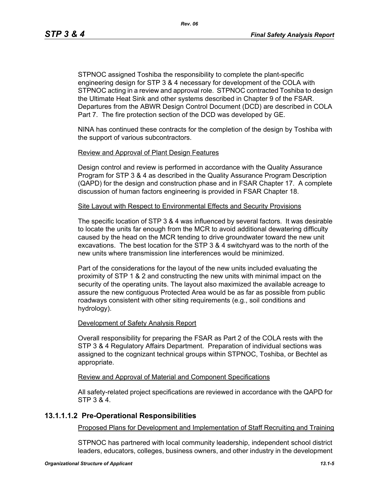STPNOC assigned Toshiba the responsibility to complete the plant-specific engineering design for STP 3 & 4 necessary for development of the COLA with STPNOC acting in a review and approval role. STPNOC contracted Toshiba to design the Ultimate Heat Sink and other systems described in Chapter 9 of the FSAR. Departures from the ABWR Design Control Document (DCD) are described in COLA Part 7. The fire protection section of the DCD was developed by GE.

NINA has continued these contracts for the completion of the design by Toshiba with the support of various subcontractors.

#### Review and Approval of Plant Design Features

Design control and review is performed in accordance with the Quality Assurance Program for STP 3 & 4 as described in the Quality Assurance Program Description (QAPD) for the design and construction phase and in FSAR Chapter 17. A complete discussion of human factors engineering is provided in FSAR Chapter 18.

#### Site Layout with Respect to Environmental Effects and Security Provisions

The specific location of STP 3 & 4 was influenced by several factors. It was desirable to locate the units far enough from the MCR to avoid additional dewatering difficulty caused by the head on the MCR tending to drive groundwater toward the new unit excavations. The best location for the STP 3 & 4 switchyard was to the north of the new units where transmission line interferences would be minimized.

Part of the considerations for the layout of the new units included evaluating the proximity of STP 1 & 2 and constructing the new units with minimal impact on the security of the operating units. The layout also maximized the available acreage to assure the new contiguous Protected Area would be as far as possible from public roadways consistent with other siting requirements (e.g., soil conditions and hydrology).

#### Development of Safety Analysis Report

Overall responsibility for preparing the FSAR as Part 2 of the COLA rests with the STP 3 & 4 Regulatory Affairs Department. Preparation of individual sections was assigned to the cognizant technical groups within STPNOC, Toshiba, or Bechtel as appropriate.

#### Review and Approval of Material and Component Specifications

All safety-related project specifications are reviewed in accordance with the QAPD for STP 3 & 4.

# **13.1.1.1.2 Pre-Operational Responsibilities**

Proposed Plans for Development and Implementation of Staff Recruiting and Training

STPNOC has partnered with local community leadership, independent school district leaders, educators, colleges, business owners, and other industry in the development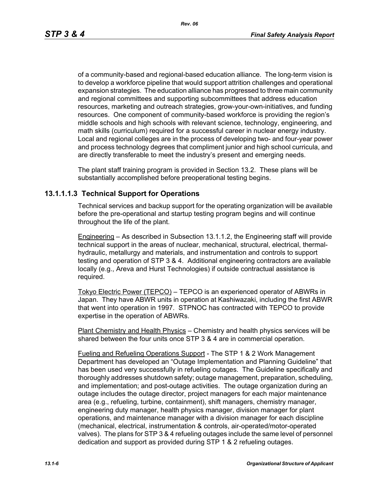of a community-based and regional-based education alliance. The long-term vision is to develop a workforce pipeline that would support attrition challenges and operational expansion strategies. The education alliance has progressed to three main community and regional committees and supporting subcommittees that address education resources, marketing and outreach strategies, grow-your-own-initiatives, and funding resources. One component of community-based workforce is providing the region's middle schools and high schools with relevant science, technology, engineering, and math skills (curriculum) required for a successful career in nuclear energy industry. Local and regional colleges are in the process of developing two- and four-year power and process technology degrees that compliment junior and high school curricula, and are directly transferable to meet the industry's present and emerging needs.

The plant staff training program is provided in Section 13.2. These plans will be substantially accomplished before preoperational testing begins.

# **13.1.1.1.3 Technical Support for Operations**

Technical services and backup support for the operating organization will be available before the pre-operational and startup testing program begins and will continue throughout the life of the plant.

Engineering – As described in Subsection 13.1.1.2, the Engineering staff will provide technical support in the areas of nuclear, mechanical, structural, electrical, thermalhydraulic, metallurgy and materials, and instrumentation and controls to support testing and operation of STP 3 & 4. Additional engineering contractors are available locally (e.g., Areva and Hurst Technologies) if outside contractual assistance is required.

Tokyo Electric Power (TEPCO) – TEPCO is an experienced operator of ABWRs in Japan. They have ABWR units in operation at Kashiwazaki, including the first ABWR that went into operation in 1997. STPNOC has contracted with TEPCO to provide expertise in the operation of ABWRs.

Plant Chemistry and Health Physics – Chemistry and health physics services will be shared between the four units once STP 3 & 4 are in commercial operation.

Fueling and Refueling Operations Support - The STP 1 & 2 Work Management Department has developed an "Outage Implementation and Planning Guideline" that has been used very successfully in refueling outages. The Guideline specifically and thoroughly addresses shutdown safety; outage management, preparation, scheduling, and implementation; and post-outage activities. The outage organization during an outage includes the outage director, project managers for each major maintenance area (e.g., refueling, turbine, containment), shift managers, chemistry manager, engineering duty manager, health physics manager, division manager for plant operations, and maintenance manager with a division manager for each discipline (mechanical, electrical, instrumentation & controls, air-operated/motor-operated valves). The plans for STP 3 & 4 refueling outages include the same level of personnel dedication and support as provided during STP 1 & 2 refueling outages.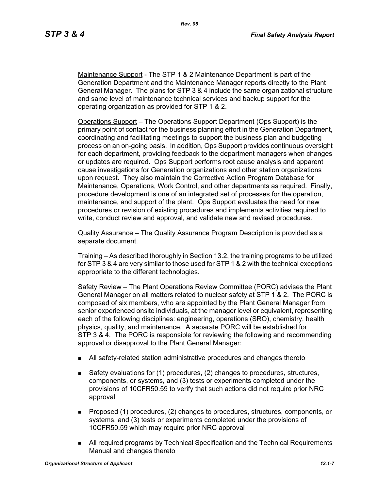Maintenance Support - The STP 1 & 2 Maintenance Department is part of the Generation Department and the Maintenance Manager reports directly to the Plant General Manager. The plans for STP 3 & 4 include the same organizational structure and same level of maintenance technical services and backup support for the operating organization as provided for STP 1 & 2.

Operations Support – The Operations Support Department (Ops Support) is the primary point of contact for the business planning effort in the Generation Department, coordinating and facilitating meetings to support the business plan and budgeting process on an on-going basis. In addition, Ops Support provides continuous oversight for each department, providing feedback to the department managers when changes or updates are required. Ops Support performs root cause analysis and apparent cause investigations for Generation organizations and other station organizations upon request. They also maintain the Corrective Action Program Database for Maintenance, Operations, Work Control, and other departments as required. Finally, procedure development is one of an integrated set of processes for the operation, maintenance, and support of the plant. Ops Support evaluates the need for new procedures or revision of existing procedures and implements activities required to write, conduct review and approval, and validate new and revised procedures.

Quality Assurance – The Quality Assurance Program Description is provided as a separate document.

Training – As described thoroughly in Section 13.2, the training programs to be utilized for STP 3 & 4 are very similar to those used for STP 1 & 2 with the technical exceptions appropriate to the different technologies.

Safety Review – The Plant Operations Review Committee (PORC) advises the Plant General Manager on all matters related to nuclear safety at STP 1 & 2. The PORC is composed of six members, who are appointed by the Plant General Manager from senior experienced onsite individuals, at the manager level or equivalent, representing each of the following disciplines: engineering, operations (SRO), chemistry, health physics, quality, and maintenance. A separate PORC will be established for STP 3 & 4. The PORC is responsible for reviewing the following and recommending approval or disapproval to the Plant General Manager:

- All safety-related station administrative procedures and changes thereto
- Safety evaluations for (1) procedures, (2) changes to procedures, structures, components, or systems, and (3) tests or experiments completed under the provisions of 10CFR50.59 to verify that such actions did not require prior NRC approval
- **Proposed (1) procedures, (2) changes to procedures, structures, components, or** systems, and (3) tests or experiments completed under the provisions of 10CFR50.59 which may require prior NRC approval
- All required programs by Technical Specification and the Technical Requirements Manual and changes thereto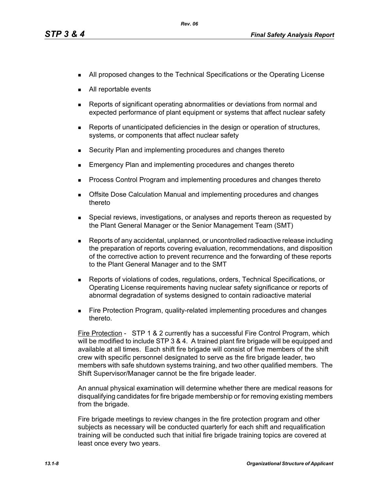- **All proposed changes to the Technical Specifications or the Operating License**
- All reportable events
- Reports of significant operating abnormalities or deviations from normal and expected performance of plant equipment or systems that affect nuclear safety
- **Reports of unanticipated deficiencies in the design or operation of structures,** systems, or components that affect nuclear safety
- Security Plan and implementing procedures and changes thereto
- Emergency Plan and implementing procedures and changes thereto
- **Process Control Program and implementing procedures and changes thereto**
- **Dealth Exercise Septemannes** Calculation Manual and implementing procedures and changes thereto
- **Special reviews, investigations, or analyses and reports thereon as requested by** the Plant General Manager or the Senior Management Team (SMT)
- Reports of any accidental, unplanned, or uncontrolled radioactive release including the preparation of reports covering evaluation, recommendations, and disposition of the corrective action to prevent recurrence and the forwarding of these reports to the Plant General Manager and to the SMT
- Reports of violations of codes, regulations, orders, Technical Specifications, or Operating License requirements having nuclear safety significance or reports of abnormal degradation of systems designed to contain radioactive material
- **Fire Protection Program, quality-related implementing procedures and changes** thereto.

Fire Protection - STP 1 & 2 currently has a successful Fire Control Program, which will be modified to include STP 3 & 4. A trained plant fire brigade will be equipped and available at all times. Each shift fire brigade will consist of five members of the shift crew with specific personnel designated to serve as the fire brigade leader, two members with safe shutdown systems training, and two other qualified members. The Shift Supervisor/Manager cannot be the fire brigade leader.

An annual physical examination will determine whether there are medical reasons for disqualifying candidates for fire brigade membership or for removing existing members from the brigade.

Fire brigade meetings to review changes in the fire protection program and other subjects as necessary will be conducted quarterly for each shift and requalification training will be conducted such that initial fire brigade training topics are covered at least once every two years.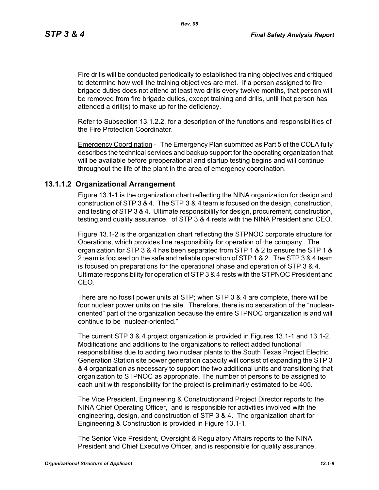*Rev. 06*

Fire drills will be conducted periodically to established training objectives and critiqued to determine how well the training objectives are met. If a person assigned to fire brigade duties does not attend at least two drills every twelve months, that person will be removed from fire brigade duties, except training and drills, until that person has attended a drill(s) to make up for the deficiency.

Refer to Subsection 13.1.2.2. for a description of the functions and responsibilities of the Fire Protection Coordinator.

Emergency Coordination - The Emergency Plan submitted as Part 5 of the COLA fully describes the technical services and backup support for the operating organization that will be available before preoperational and startup testing begins and will continue throughout the life of the plant in the area of emergency coordination.

# **13.1.1.2 Organizational Arrangement**

Figure 13.1-1 is the organization chart reflecting the NINA organization for design and construction of STP 3 & 4. The STP 3 & 4 team is focused on the design, construction, and testing of STP 3 & 4. Ultimate responsibility for design, procurement, construction, testing,and quality assurance, of STP 3 & 4 rests with the NINA President and CEO.

Figure 13.1-2 is the organization chart reflecting the STPNOC corporate structure for Operations, which provides line responsibility for operation of the company. The organization for STP 3 & 4 has been separated from STP 1 & 2 to ensure the STP 1 & 2 team is focused on the safe and reliable operation of STP 1 & 2. The STP 3 & 4 team is focused on preparations for the operational phase and operation of STP 3 & 4. Ultimate responsibility for operation of STP 3 & 4 rests with the STPNOC President and CEO.

There are no fossil power units at STP; when STP 3 & 4 are complete, there will be four nuclear power units on the site. Therefore, there is no separation of the "nuclearoriented" part of the organization because the entire STPNOC organization is and will continue to be "nuclear-oriented."

The current STP 3 & 4 project organization is provided in Figures 13.1-1 and 13.1-2. Modifications and additions to the organizations to reflect added functional responsibilities due to adding two nuclear plants to the South Texas Project Electric Generation Station site power generation capacity will consist of expanding the STP 3 & 4 organization as necessary to support the two additional units and transitioning that organization to STPNOC as appropriate. The number of persons to be assigned to each unit with responsibility for the project is preliminarily estimated to be 405.

The Vice President, Engineering & Constructionand Project Director reports to the NINA Chief Operating Officer, and is responsible for activities involved with the engineering, design, and construction of STP 3 & 4. The organization chart for Engineering & Construction is provided in Figure 13.1-1.

The Senior Vice President, Oversight & Regulatory Affairs reports to the NINA President and Chief Executive Officer, and is responsible for quality assurance,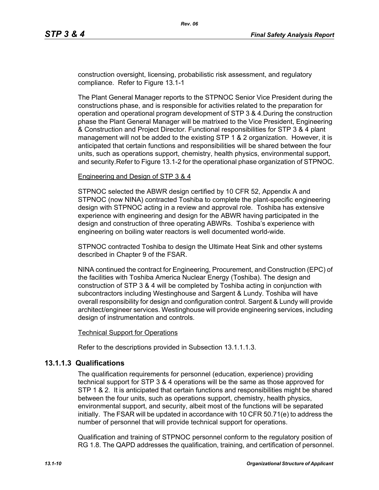construction oversight, licensing, probabilistic risk assessment, and regulatory compliance. Refer to Figure 13.1-1

The Plant General Manager reports to the STPNOC Senior Vice President during the constructions phase, and is responsible for activities related to the preparation for operation and operational program development of STP 3 & 4.During the construction phase the Plant General Manager will be matrixed to the Vice President, Engineering & Construction and Project Director. Functional responsibilities for STP 3 & 4 plant management will not be added to the existing STP 1 & 2 organization. However, it is anticipated that certain functions and responsibilities will be shared between the four units, such as operations support, chemistry, health physics, environmental support, and security.Refer to Figure 13.1-2 for the operational phase organization of STPNOC.

#### Engineering and Design of STP 3 & 4

STPNOC selected the ABWR design certified by 10 CFR 52, Appendix A and STPNOC (now NINA) contracted Toshiba to complete the plant-specific engineering design with STPNOC acting in a review and approval role. Toshiba has extensive experience with engineering and design for the ABWR having participated in the design and construction of three operating ABWRs. Toshiba's experience with engineering on boiling water reactors is well documented world-wide.

STPNOC contracted Toshiba to design the Ultimate Heat Sink and other systems described in Chapter 9 of the FSAR.

NINA continued the contract for Engineering, Procurement, and Construction (EPC) of the facilities with Toshiba America Nuclear Energy (Toshiba). The design and construction of STP 3 & 4 will be completed by Toshiba acting in conjunction with subcontractors including Westinghouse and Sargent & Lundy. Toshiba will have overall responsibility for design and configuration control. Sargent & Lundy will provide architect/engineer services. Westinghouse will provide engineering services, including design of instrumentation and controls.

#### Technical Support for Operations

Refer to the descriptions provided in Subsection 13.1.1.1.3.

### **13.1.1.3 Qualifications**

The qualification requirements for personnel (education, experience) providing technical support for STP 3 & 4 operations will be the same as those approved for STP 1 & 2. It is anticipated that certain functions and responsibilities might be shared between the four units, such as operations support, chemistry, health physics, environmental support, and security, albeit most of the functions will be separated initially. The FSAR will be updated in accordance with 10 CFR 50.71(e) to address the number of personnel that will provide technical support for operations.

Qualification and training of STPNOC personnel conform to the regulatory position of RG 1.8. The QAPD addresses the qualification, training, and certification of personnel.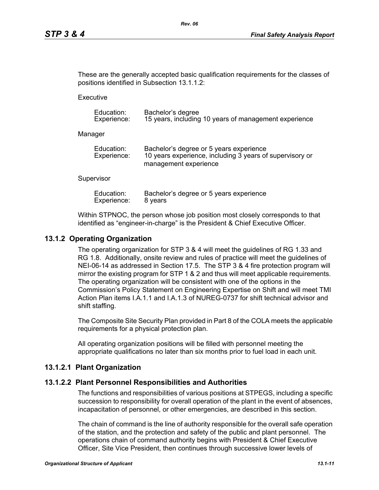These are the generally accepted basic qualification requirements for the classes of positions identified in Subsection 13.1.1.2:

**Executive** 

| Education:  | Bachelor's degree                                     |
|-------------|-------------------------------------------------------|
| Experience: | 15 years, including 10 years of management experience |

Manager

| Education:  | Bachelor's degree or 5 years experience                  |
|-------------|----------------------------------------------------------|
| Experience: | 10 years experience, including 3 years of supervisory or |
|             | management experience                                    |

#### **Supervisor**

| Education:  | Bachelor's degree or 5 years experience |
|-------------|-----------------------------------------|
| Experience: | 8 years                                 |

Within STPNOC, the person whose job position most closely corresponds to that identified as "engineer-in-charge" is the President & Chief Executive Officer.

### **13.1.2 Operating Organization**

The operating organization for STP 3 & 4 will meet the guidelines of RG 1.33 and RG 1.8. Additionally, onsite review and rules of practice will meet the guidelines of NEI-06-14 as addressed in Section 17.5. The STP 3 & 4 fire protection program will mirror the existing program for STP 1 & 2 and thus will meet applicable requirements. The operating organization will be consistent with one of the options in the Commission's Policy Statement on Engineering Expertise on Shift and will meet TMI Action Plan items I.A.1.1 and I.A.1.3 of NUREG-0737 for shift technical advisor and shift staffing.

The Composite Site Security Plan provided in Part 8 of the COLA meets the applicable requirements for a physical protection plan.

All operating organization positions will be filled with personnel meeting the appropriate qualifications no later than six months prior to fuel load in each unit.

### **13.1.2.1 Plant Organization**

### **13.1.2.2 Plant Personnel Responsibilities and Authorities**

The functions and responsibilities of various positions at STPEGS, including a specific succession to responsibility for overall operation of the plant in the event of absences, incapacitation of personnel, or other emergencies, are described in this section.

The chain of command is the line of authority responsible for the overall safe operation of the station, and the protection and safety of the public and plant personnel. The operations chain of command authority begins with President & Chief Executive Officer, Site Vice President, then continues through successive lower levels of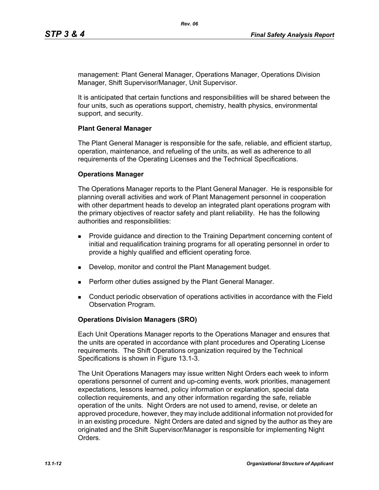management: Plant General Manager, Operations Manager, Operations Division Manager, Shift Supervisor/Manager, Unit Supervisor.

It is anticipated that certain functions and responsibilities will be shared between the four units, such as operations support, chemistry, health physics, environmental support, and security.

#### **Plant General Manager**

The Plant General Manager is responsible for the safe, reliable, and efficient startup, operation, maintenance, and refueling of the units, as well as adherence to all requirements of the Operating Licenses and the Technical Specifications.

#### **Operations Manager**

The Operations Manager reports to the Plant General Manager. He is responsible for planning overall activities and work of Plant Management personnel in cooperation with other department heads to develop an integrated plant operations program with the primary objectives of reactor safety and plant reliability. He has the following authorities and responsibilities:

- **Provide guidance and direction to the Training Department concerning content of** initial and requalification training programs for all operating personnel in order to provide a highly qualified and efficient operating force.
- Develop, monitor and control the Plant Management budget.
- **Perform other duties assigned by the Plant General Manager.**
- Conduct periodic observation of operations activities in accordance with the Field Observation Program.

### **Operations Division Managers (SRO)**

Each Unit Operations Manager reports to the Operations Manager and ensures that the units are operated in accordance with plant procedures and Operating License requirements. The Shift Operations organization required by the Technical Specifications is shown in Figure 13.1-3.

The Unit Operations Managers may issue written Night Orders each week to inform operations personnel of current and up-coming events, work priorities, management expectations, lessons learned, policy information or explanation, special data collection requirements, and any other information regarding the safe, reliable operation of the units. Night Orders are not used to amend, revise, or delete an approved procedure, however, they may include additional information not provided for in an existing procedure. Night Orders are dated and signed by the author as they are originated and the Shift Supervisor/Manager is responsible for implementing Night **Orders**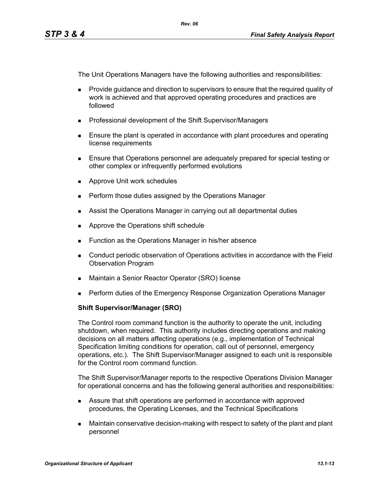The Unit Operations Managers have the following authorities and responsibilities:

- **Provide quidance and direction to supervisors to ensure that the required quality of** work is achieved and that approved operating procedures and practices are followed
- **Professional development of the Shift Supervisor/Managers**
- **Ensure the plant is operated in accordance with plant procedures and operating** license requirements
- Ensure that Operations personnel are adequately prepared for special testing or other complex or infrequently performed evolutions
- **Approve Unit work schedules**
- **Perform those duties assigned by the Operations Manager**
- **Assist the Operations Manager in carrying out all departmental duties**
- **Approve the Operations shift schedule**
- **Function as the Operations Manager in his/her absence**
- Conduct periodic observation of Operations activities in accordance with the Field Observation Program
- Maintain a Senior Reactor Operator (SRO) license
- **Perform duties of the Emergency Response Organization Operations Manager**

### **Shift Supervisor/Manager (SRO)**

The Control room command function is the authority to operate the unit, including shutdown, when required. This authority includes directing operations and making decisions on all matters affecting operations (e.g., implementation of Technical Specification limiting conditions for operation, call out of personnel, emergency operations, etc.). The Shift Supervisor/Manager assigned to each unit is responsible for the Control room command function.

The Shift Supervisor/Manager reports to the respective Operations Division Manager for operational concerns and has the following general authorities and responsibilities:

- Assure that shift operations are performed in accordance with approved procedures, the Operating Licenses, and the Technical Specifications
- Maintain conservative decision-making with respect to safety of the plant and plant personnel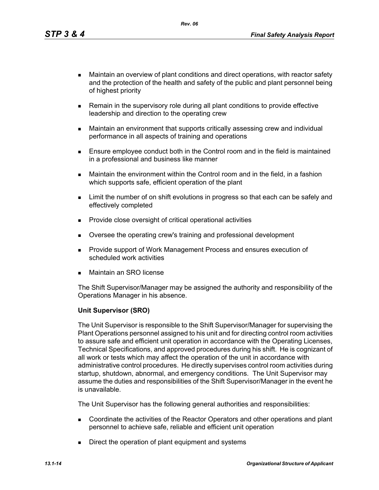*Rev. 06*

- Maintain an overview of plant conditions and direct operations, with reactor safety and the protection of the health and safety of the public and plant personnel being of highest priority
- **Remain in the supervisory role during all plant conditions to provide effective** leadership and direction to the operating crew
- Maintain an environment that supports critically assessing crew and individual performance in all aspects of training and operations
- **Ensure employee conduct both in the Control room and in the field is maintained** in a professional and business like manner
- Maintain the environment within the Control room and in the field, in a fashion which supports safe, efficient operation of the plant
- **EXECT** Limit the number of on shift evolutions in progress so that each can be safely and effectively completed
- **Provide close oversight of critical operational activities**
- Oversee the operating crew's training and professional development
- **Provide support of Work Management Process and ensures execution of** scheduled work activities
- Maintain an SRO license

The Shift Supervisor/Manager may be assigned the authority and responsibility of the Operations Manager in his absence.

### **Unit Supervisor (SRO)**

The Unit Supervisor is responsible to the Shift Supervisor/Manager for supervising the Plant Operations personnel assigned to his unit and for directing control room activities to assure safe and efficient unit operation in accordance with the Operating Licenses, Technical Specifications, and approved procedures during his shift. He is cognizant of all work or tests which may affect the operation of the unit in accordance with administrative control procedures. He directly supervises control room activities during startup, shutdown, abnormal, and emergency conditions. The Unit Supervisor may assume the duties and responsibilities of the Shift Supervisor/Manager in the event he is unavailable.

The Unit Supervisor has the following general authorities and responsibilities:

- Coordinate the activities of the Reactor Operators and other operations and plant personnel to achieve safe, reliable and efficient unit operation
- Direct the operation of plant equipment and systems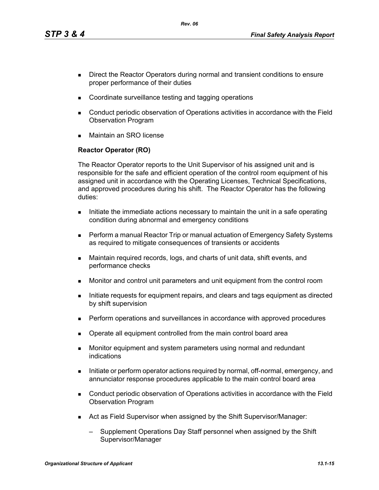*Rev. 06*

- Direct the Reactor Operators during normal and transient conditions to ensure proper performance of their duties
- Coordinate surveillance testing and tagging operations
- Conduct periodic observation of Operations activities in accordance with the Field Observation Program
- Maintain an SRO license

# **Reactor Operator (RO)**

The Reactor Operator reports to the Unit Supervisor of his assigned unit and is responsible for the safe and efficient operation of the control room equipment of his assigned unit in accordance with the Operating Licenses, Technical Specifications, and approved procedures during his shift. The Reactor Operator has the following duties:

- Initiate the immediate actions necessary to maintain the unit in a safe operating condition during abnormal and emergency conditions
- Perform a manual Reactor Trip or manual actuation of Emergency Safety Systems as required to mitigate consequences of transients or accidents
- Maintain required records, logs, and charts of unit data, shift events, and performance checks
- Monitor and control unit parameters and unit equipment from the control room
- Initiate requests for equipment repairs, and clears and tags equipment as directed by shift supervision
- **Perform operations and surveillances in accordance with approved procedures**
- Operate all equipment controlled from the main control board area
- **Monitor equipment and system parameters using normal and redundant** indications
- Initiate or perform operator actions required by normal, off-normal, emergency, and annunciator response procedures applicable to the main control board area
- Conduct periodic observation of Operations activities in accordance with the Field Observation Program
- Act as Field Supervisor when assigned by the Shift Supervisor/Manager:
	- Supplement Operations Day Staff personnel when assigned by the Shift Supervisor/Manager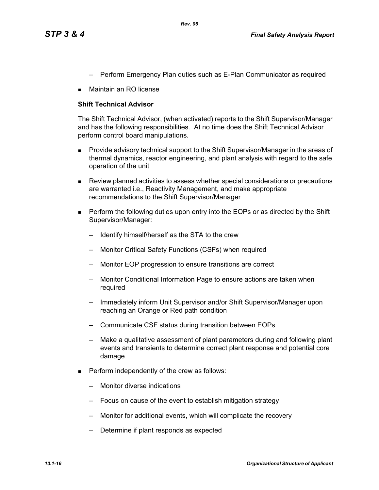- Perform Emergency Plan duties such as E-Plan Communicator as required
- Maintain an RO license

#### **Shift Technical Advisor**

The Shift Technical Advisor, (when activated) reports to the Shift Supervisor/Manager and has the following responsibilities. At no time does the Shift Technical Advisor perform control board manipulations.

- **Provide advisory technical support to the Shift Supervisor/Manager in the areas of** thermal dynamics, reactor engineering, and plant analysis with regard to the safe operation of the unit
- Review planned activities to assess whether special considerations or precautions are warranted i.e., Reactivity Management, and make appropriate recommendations to the Shift Supervisor/Manager
- **Perform the following duties upon entry into the EOPs or as directed by the Shift** Supervisor/Manager:
	- Identify himself/herself as the STA to the crew
	- Monitor Critical Safety Functions (CSFs) when required
	- Monitor EOP progression to ensure transitions are correct
	- Monitor Conditional Information Page to ensure actions are taken when required
	- Immediately inform Unit Supervisor and/or Shift Supervisor/Manager upon reaching an Orange or Red path condition
	- Communicate CSF status during transition between EOPs
	- Make a qualitative assessment of plant parameters during and following plant events and transients to determine correct plant response and potential core damage
- **Perform independently of the crew as follows:** 
	- Monitor diverse indications
	- Focus on cause of the event to establish mitigation strategy
	- Monitor for additional events, which will complicate the recovery
	- Determine if plant responds as expected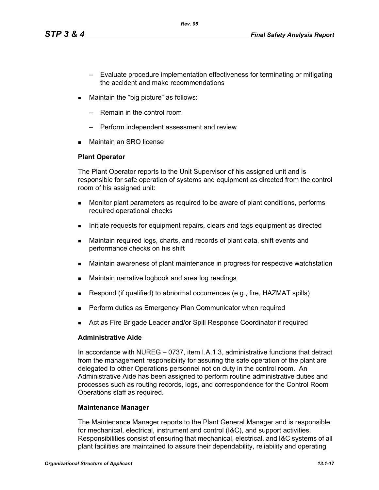- Evaluate procedure implementation effectiveness for terminating or mitigating the accident and make recommendations
- **Maintain the "big picture" as follows:** 
	- Remain in the control room
	- Perform independent assessment and review
- Maintain an SRO license

#### **Plant Operator**

The Plant Operator reports to the Unit Supervisor of his assigned unit and is responsible for safe operation of systems and equipment as directed from the control room of his assigned unit:

- Monitor plant parameters as required to be aware of plant conditions, performs required operational checks
- Initiate requests for equipment repairs, clears and tags equipment as directed
- Maintain required logs, charts, and records of plant data, shift events and performance checks on his shift
- Maintain awareness of plant maintenance in progress for respective watchstation
- **Maintain narrative logbook and area log readings**
- **Respond (if qualified) to abnormal occurrences (e.g., fire, HAZMAT spills)**
- Perform duties as Emergency Plan Communicator when required
- Act as Fire Brigade Leader and/or Spill Response Coordinator if required

#### **Administrative Aide**

In accordance with NUREG – 0737, item I.A.1.3, administrative functions that detract from the management responsibility for assuring the safe operation of the plant are delegated to other Operations personnel not on duty in the control room. An Administrative Aide has been assigned to perform routine administrative duties and processes such as routing records, logs, and correspondence for the Control Room Operations staff as required.

#### **Maintenance Manager**

The Maintenance Manager reports to the Plant General Manager and is responsible for mechanical, electrical, instrument and control (I&C), and support activities. Responsibilities consist of ensuring that mechanical, electrical, and I&C systems of all plant facilities are maintained to assure their dependability, reliability and operating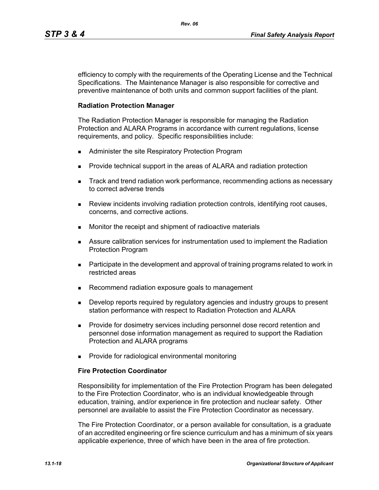efficiency to comply with the requirements of the Operating License and the Technical Specifications. The Maintenance Manager is also responsible for corrective and preventive maintenance of both units and common support facilities of the plant.

*Rev. 06*

#### **Radiation Protection Manager**

The Radiation Protection Manager is responsible for managing the Radiation Protection and ALARA Programs in accordance with current regulations, license requirements, and policy. Specific responsibilities include:

- Administer the site Respiratory Protection Program
- **Provide technical support in the areas of ALARA and radiation protection**
- **Track and trend radiation work performance, recommending actions as necessary** to correct adverse trends
- **Review incidents involving radiation protection controls, identifying root causes,** concerns, and corrective actions.
- **Monitor the receipt and shipment of radioactive materials**
- Assure calibration services for instrumentation used to implement the Radiation Protection Program
- **Participate in the development and approval of training programs related to work in** restricted areas
- Recommend radiation exposure goals to management
- **Develop reports required by regulatory agencies and industry groups to present** station performance with respect to Radiation Protection and ALARA
- **Provide for dosimetry services including personnel dose record retention and** personnel dose information management as required to support the Radiation Protection and ALARA programs
- **Provide for radiological environmental monitoring**

#### **Fire Protection Coordinator**

Responsibility for implementation of the Fire Protection Program has been delegated to the Fire Protection Coordinator, who is an individual knowledgeable through education, training, and/or experience in fire protection and nuclear safety. Other personnel are available to assist the Fire Protection Coordinator as necessary.

The Fire Protection Coordinator, or a person available for consultation, is a graduate of an accredited engineering or fire science curriculum and has a minimum of six years applicable experience, three of which have been in the area of fire protection.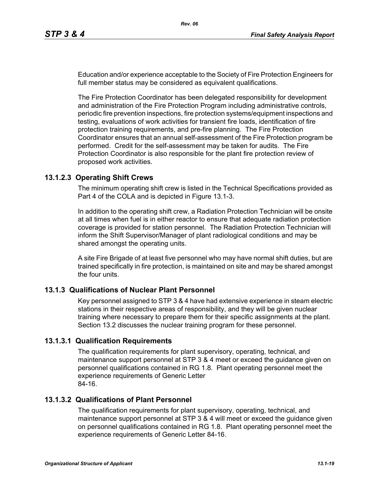Education and/or experience acceptable to the Society of Fire Protection Engineers for full member status may be considered as equivalent qualifications.

The Fire Protection Coordinator has been delegated responsibility for development and administration of the Fire Protection Program including administrative controls, periodic fire prevention inspections, fire protection systems/equipment inspections and testing, evaluations of work activities for transient fire loads, identification of fire protection training requirements, and pre-fire planning. The Fire Protection Coordinator ensures that an annual self-assessment of the Fire Protection program be performed. Credit for the self-assessment may be taken for audits. The Fire Protection Coordinator is also responsible for the plant fire protection review of proposed work activities.

# **13.1.2.3 Operating Shift Crews**

The minimum operating shift crew is listed in the Technical Specifications provided as Part 4 of the COLA and is depicted in Figure 13.1-3.

In addition to the operating shift crew, a Radiation Protection Technician will be onsite at all times when fuel is in either reactor to ensure that adequate radiation protection coverage is provided for station personnel. The Radiation Protection Technician will inform the Shift Supervisor/Manager of plant radiological conditions and may be shared amongst the operating units.

A site Fire Brigade of at least five personnel who may have normal shift duties, but are trained specifically in fire protection, is maintained on site and may be shared amongst the four units.

### **13.1.3 Qualifications of Nuclear Plant Personnel**

Key personnel assigned to STP 3 & 4 have had extensive experience in steam electric stations in their respective areas of responsibility, and they will be given nuclear training where necessary to prepare them for their specific assignments at the plant. Section 13.2 discusses the nuclear training program for these personnel.

### **13.1.3.1 Qualification Requirements**

The qualification requirements for plant supervisory, operating, technical, and maintenance support personnel at STP 3 & 4 meet or exceed the guidance given on personnel qualifications contained in RG 1.8. Plant operating personnel meet the experience requirements of Generic Letter 84-16.

# **13.1.3.2 Qualifications of Plant Personnel**

The qualification requirements for plant supervisory, operating, technical, and maintenance support personnel at STP 3 & 4 will meet or exceed the guidance given on personnel qualifications contained in RG 1.8. Plant operating personnel meet the experience requirements of Generic Letter 84-16.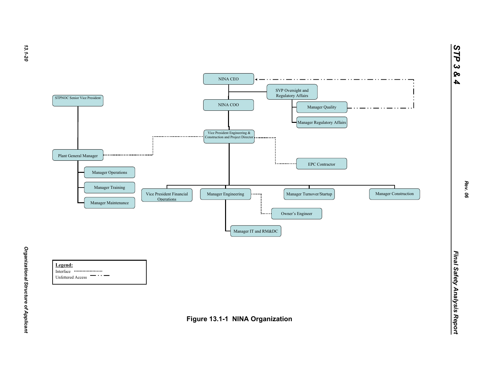

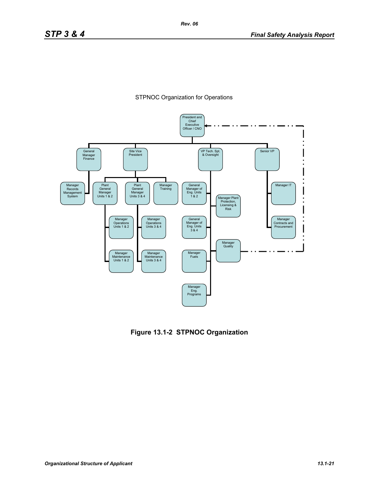



**Figure 13.1-2 STPNOC Organization**